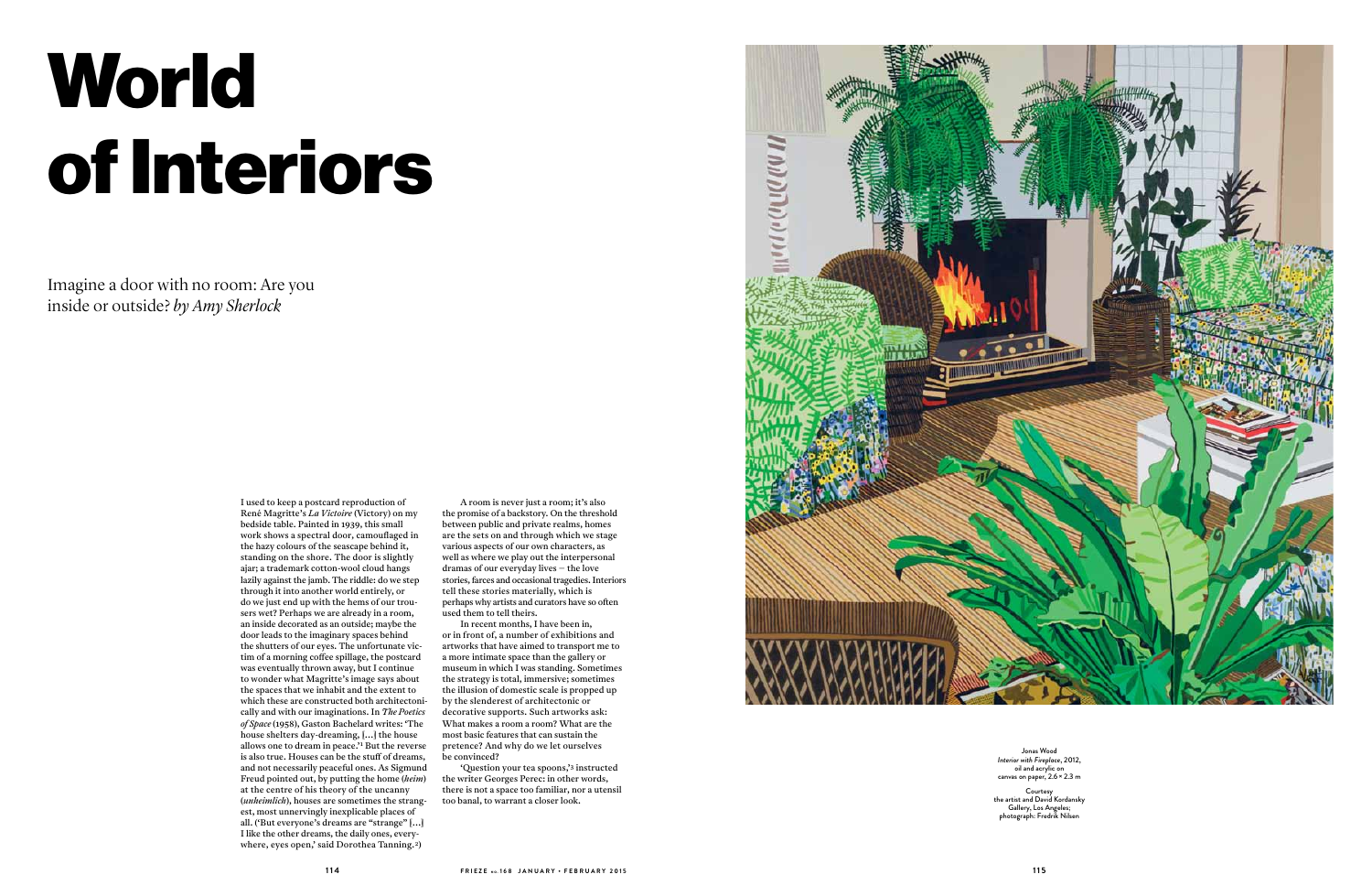# **World** of Interiors

Imagine a door with no room: Are you inside or outside? *by Amy Sherlock*

> I used to keep a postcard reproduction of René Magritte's *La Victoire* (Victory) on my bedside table. Painted in 1939, this small work shows a spectral door, camouflaged in the hazy colours of the seascape behind it, standing on the shore. The door is slightly ajar; a trademark cotton-wool cloud hangs lazily against the jamb. The riddle: do we step through it into another world entirely, or do we just end up with the hems of our trousers wet? Perhaps we are already in a room, an inside decorated as an outside; maybe the door leads to the imaginary spaces behind the shutters of our eyes. The unfortunate victim of a morning coffee spillage, the postcard was eventually thrown away, but I continue to wonder what Magritte's image says about the spaces that we inhabit and the extent to which these are constructed both architectonically and with our imaginations. In *The Poetics of Space* (1958), Gaston Bachelard writes: 'The house shelters day-dreaming, […] the house allows one to dream in peace.'1 But the reverse is also true. Houses can be the stuff of dreams, and not necessarily peaceful ones. As Sigmund Freud pointed out, by putting the home (*heim*) at the centre of his theory of the uncanny (*unheimlich*), houses are sometimes the strangest, most unnervingly inexplicable places of all. ('But everyone's dreams are "strange" […] I like the other dreams, the daily ones, everywhere, eyes open,' said Dorothea Tanning. 2)

**Courtesy** he artist and David́ Kordansk Gallery, Los Angeles; photograph: Fredrik Nilsen

Jonas Wood *Interior with Fireplace*, 2012, oil and acrylic on canvas on paper, 2.6 × 2.3 m

A room is never just a room; it's also the promise of a backstory. On the threshold between public and private realms, homes are the sets on and through which we stage various aspects of our own characters, as well as where we play out the interpersonal dramas of our everyday lives – the love stories, farces and occasional tragedies. Interiors tell these stories materially, which is perhaps why artists and curators have so often used them to tell theirs.

In recent months, I have been in, or in front of, a number of exhibitions and artworks that have aimed to transport me to a more intimate space than the gallery or museum in which I was standing. Sometimes the strategy is total, immersive; sometimes the illusion of domestic scale is propped up by the slenderest of architectonic or decorative supports. Such artworks ask: What makes a room a room? What are the most basic features that can sustain the pretence? And why do we let ourselves be convinced?

'Question your tea spoons,'3 instructed the writer Georges Perec: in other words, there is not a space too familiar, nor a utensil too banal, to warrant a closer look.

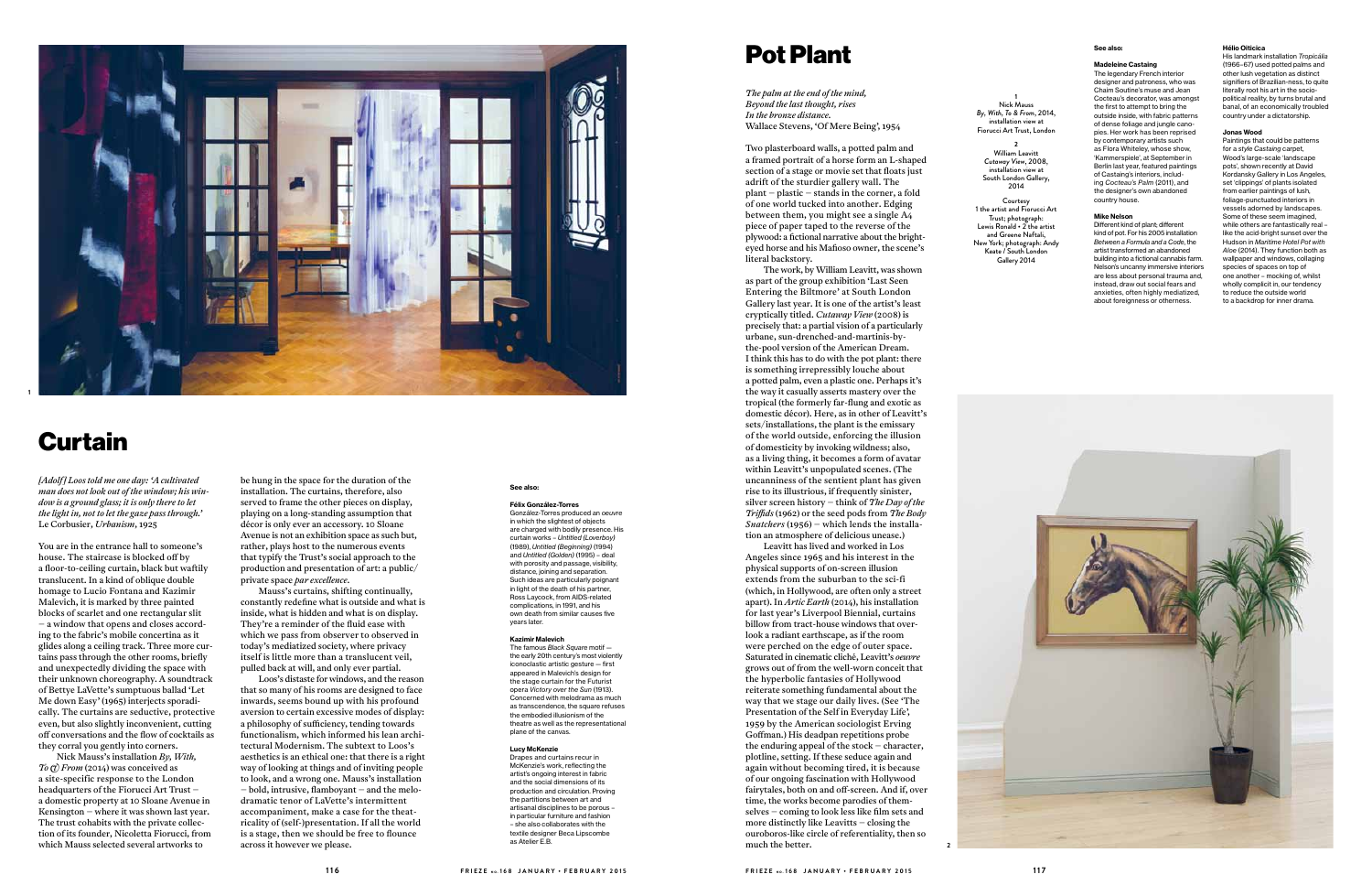## Pot Plant

*The palm at the end of the mind, Beyond the last thought, rises In the bronze distance.* Wallace Stevens, 'Of Mere Being', 1954

Two plasterboard walls, a potted palm and a framed portrait of a horse form an L-shaped section of a stage or movie set that floats just adrift of the sturdier gallery wall. The plant – plastic – stands in the corner, a fold of one world tucked into another. Edging between them, you might see a single A 4 piece of paper taped to the reverse of the plywood: a fictional narrative about the brighteyed horse and his Mafioso owner, the scene's literal backstory.

The work, by William Leavitt, was shown as part of the group exhibition 'Last Seen Entering the Biltmore' at South London Gallery last year. It is one of the artist's least cryptically titled. *Cutaway View*  (2008) is precisely that: a partial vision of a particularly urbane, sun-drenched-and-martinis-by-I think this has to do with the pot plant: there is something irrepressibly louche about a potted palm, even a plastic one. Perhaps it's the way it casually asserts mastery over the tropical (the formerly far-flung and exotic as domestic décor). Here, as in other of Leavitt's sets/installations, the plant is the emissary of the world outside, enforcing the illusion of domesticity by invoking wildness; also, as a living thing, it becomes a form of avatar within Leavitt's unpopulated scenes. (The uncanniness of the sentient plant has given rise to its illustrious, if frequently sinister, silver screen history – think of *The Day of the Tri!ds* (1962) or the seed pods from *The Body Snatchers* (1956) – which lends the installa tion an atmosphere of delicious unease.)

Leavitt has lived and worked in Los Angeles since 1965 and his interest in the physical supports of on-screen illusion extends from the suburban to the sci-fi (which, in Hollywood, are often only a street apart). In *Artic Earth* (2014), his installation for last year's Liverpool Biennial, curtains billow from tract-house windows that over look a radiant earthscape, as if the room were perched on the edge of outer space. Saturated in cinematic cliché, Leavitt's *oeuvre* grows out of from the well-worn conceit that the hyperbolic fantasies of Hollywood reiterate something fundamental about the way that we stage our daily lives. (See 'The Presentation of the Self in Everyday Life', 1959 by the American sociologist Erving Go %man.) His deadpan repetitions probe the enduring appeal of the stock – character, plotline, setting. If these seduce again and again without becoming tired, it is because of our ongoing fascination with Hollywood fairytales, both on and off-screen. And if, over time, the works become parodies of them selves — coming to look less like film sets and more distinctly like Leavitts – closing the ouroboros-like circle of referentiality, then so much the better.

Nick Mauss's installation *By, With,*<br> *To (t) From* (2014) was conceived as a site-specific response to the London<br>headquarters of the Fiorucci Art Trust – a domestic property at 10 Sloane Avenue in Kensington – where it was shown last year. The trust cohabits with the private collec tion of its founder, Nicoletta Fiorucci, from which Mauss selected several artworks to

#### **Hélio Oiticica**

His landmark installation *Tropicália* (1966–67) used potted palms and other lush vegetation as distinct signifiers of Brazilian-ness, to quite literally root his art in the sociopolitical reality, by turns brutal and banal, of an economically troubled country under a dictatorship.

#### **Jonas Wood**

Paintings that could be patterns for a *style Castaing* carpet, Wood's large-scale 'landscape pots', shown recently at David Kordansky Gallery in Los Angeles, set 'clippings' of plants isolated from earlier paintings of lush, foliage-punctuated interiors in vessels adorned by landscapes. Some of these seem imagined, while others are fantastically real – like the acid-bright sunset over the Hudson in *Maritime Hotel Pot with Aloe* (2014). They function both as wallpaper and windows, collaging species of spaces on top of one another – mocking of, whilst wholly complicit in, our tendency to reduce the outside world to a backdrop for inner drama.

## Curtain

*[Adolf ] Loos told me one day: 'A cultivated man does not look out of the window; his win dow is a ground glass; it is only there to let the light in, not to let the gaze pass through.'*  Le Corbusier, *Urbanism*, 1925

You are in the entrance hall to someone's house. The staircase is blocked off by a floor-to-ceiling curtain, black but waftily translucent. In a kind of oblique double homage to Lucio Fontana and Kazimir Malevich, it is marked by three painted blocks of scarlet and one rectangular slit – a window that opens and closes accord ing to the fabric's mobile concertina as it glides along a ceiling track. Three more cur tains pass through the other rooms, briefly and unexpectedly dividing the space with their unknown choreography. A soundtrack of Bettye LaVette's sumptuous ballad 'Let Me down Easy' (1965) interjects sporadi cally. The curtains are seductive, protective off conversations and the flow of cocktails as they corral you gently into corners.

**Mike Nelson**<br>Different kind of plant; different kind of pot. For his 2005 installation *Between a Formula and a Code*, the artist transformed an abandoned building into a fictional cannabis farm. Nelson's uncanny immersive interiors are less about personal trauma and, instead, draw out social fears and anxieties, often highly mediatized, about foreignness or otherness.

#### **See also:**

**Félix González-Torres** González-Torres produced an *oeuvre* in which the slightest of objects are charged with bodily presence. His curtain works – *Untitled (Loverboy)* (1989), *Untitled (Beginning)* (1994) and *Untitled (Golden)* (1995) – deal with porosity and passage, visibility, distance, joining and separation. Such ideas are particularly poignant in light of the death of his partner, Ross Laycock, from AIDS-related complications, in 1991, and his own death from similar causes five years later.

#### **Kazimir Malevich**

The famous *Black Square* motif the early 20th century's most violently iconoclastic artistic gesture — first appeared in Malevich's design for the stage curtain for the Futurist opera *Victory over the Sun* (1913). Concerned with melodrama as much as transcendence, the square refuses the embodied illusionism of the theatre as well as the representational plane of the canvas.

#### **Lucy McKenzie**

Drapes and curtains recur in McKenzie's work, reflecting the artist's ongoing interest in fabric and the social dimensions of its production and circulation. Proving the partitions between art and artisanal disciplines to be porous – in particular furniture and fashion – she also collaborates with the textile designer Beca Lipscombe as Atelier E.B.

be hung in the space for the duration of the installation. The curtains, therefore, also served to frame the other pieces on display, playing on a long-standing assumption that décor is only ever an accessory. 10 Sloane Avenue is not an exhibition space as such but, rather, plays host to the numerous events that typify the Trust's social approach to the production and presentation of art: a public/ private space *par excellence*.

Mauss's curtains, shifting continually, constantly redefine what is outside and what is inside, what is hidden and what is on display. They're a reminder of the fluid ease with which we pass from observer to observed in today's mediatized society, where privacy itself is little more than a translucent veil, pulled back at will, and only ever partial.

Loos's distaste for windows, and the reason that so many of his rooms are designed to face inwards, seems bound up with his profound aversion to certain excessive modes of display: a philosophy of sufficiency, tending towards functionalism, which informed his lean archi tectural Modernism. The subtext to Loos's aesthetics is an ethical one: that there is a right way of looking at things and of inviting people to look, and a wrong one. Mauss's installation  $-$  bold, intrusive, flamboyant  $-$  and the melodramatic tenor of LaVette's intermittent accompaniment, make a case for the theat ricality of (self-)presentation. If all the world is a stage, then we should be free to flounce across it however we please.





**1** Nick Mauss *By, With, To & From*, 2014, installation view at Fiorucci Art Trust, London

#### **2** William Leavitt *Cutaway View*, 2008, installation view at South London Gallery, 2014

Courtesy 1 the artist and Fiorucci Art Trust; photograph: Lewis Ronald  $\cdot$  2 the artist and Greene Naftali, New York; photograph: Andy Keate / South London Gallery 2014

#### **See also:**

#### **Madeleine Castaing**

The legendary French interior designer and patroness, who was Chaim Soutine's muse and Jean Cocteau's decorator, was amongst the first to attempt to bring the outside inside, with fabric patterns of dense foliage and jungle cano pies. Her work has been reprised by contemporary artists such as Flora Whiteley, whose show, 'Kammerspiele', at September in Berlin last year, featured paintings of Castaing's interiors, includ ing *Cocteau's Palm* (2011), and the designer's own abandoned country house.